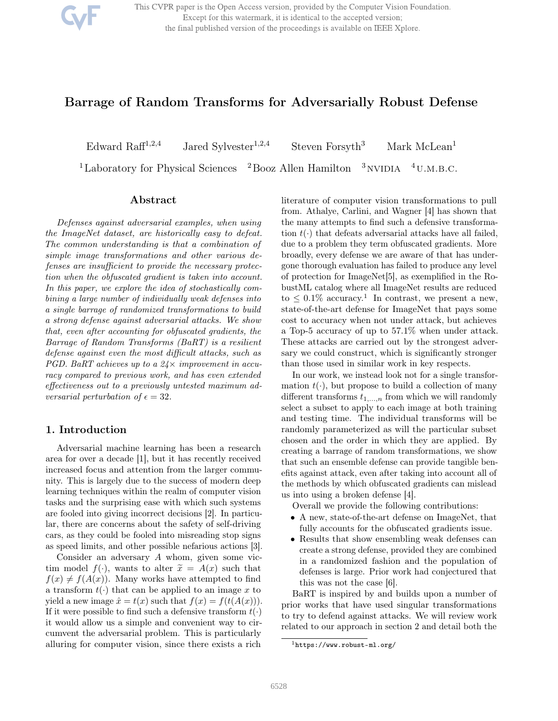This CVPR paper is the Open Access version, provided by the Computer Vision Foundation. Except for this watermark, it is identical to the accepted version; the final published version of the proceedings is available on IEEE Xplore.

# Barrage of Random Transforms for Adversarially Robust Defense

Edward Raff $1,2,4$ 

Jared Sylvester<sup>1,2,4</sup> Steven Forsyth<sup>3</sup> Mark McLean<sup>1</sup>

<sup>1</sup>Laboratory for Physical Sciences  $2B_{0.02}$  Allen Hamilton  $3_{\rm NVIDIA}$   $4_{\rm U.M.B.C.}$ 

## Abstract

*Defenses against adversarial examples, when using the ImageNet dataset, are historically easy to defeat. The common understanding is that a combination of simple image transformations and other various defenses are insu*ffi*cient to provide the necessary protection when the obfuscated gradient is taken into account. In this paper, we explore the idea of stochastically combining a large number of individually weak defenses into a single barrage of randomized transformations to build a strong defense against adversarial attacks. We show that, even after accounting for obfuscated gradients, the Barrage of Random Transforms (BaRT) is a resilient defense against even the most di*ffi*cult attacks, such as PGD. BaRT achieves up to a 24* $\times$  *improvement in accuracy compared to previous work, and has even extended e*ff*ectiveness out to a previously untested maximum adversarial perturbation of*  $\epsilon = 32$ *.* 

### 1. Introduction

Adversarial machine learning has been a research area for over a decade [1], but it has recently received increased focus and attention from the larger community. This is largely due to the success of modern deep learning techniques within the realm of computer vision tasks and the surprising ease with which such systems are fooled into giving incorrect decisions [2]. In particular, there are concerns about the safety of self-driving cars, as they could be fooled into misreading stop signs as speed limits, and other possible nefarious actions [3].

Consider an adversary A whom, given some victim model  $f(\cdot)$ , wants to alter  $\tilde{x} = A(x)$  such that  $f(x) \neq f(A(x))$ . Many works have attempted to find a transform  $t(\cdot)$  that can be applied to an image x to yield a new image  $\hat{x} = t(x)$  such that  $f(x) = f(t(A(x))).$ If it were possible to find such a defensive transform  $t(\cdot)$ it would allow us a simple and convenient way to circumvent the adversarial problem. This is particularly alluring for computer vision, since there exists a rich

literature of computer vision transformations to pull from. Athalye, Carlini, and Wagner [4] has shown that the many attempts to find such a defensive transformation  $t(\cdot)$  that defeats adversarial attacks have all failed, due to a problem they term obfuscated gradients. More broadly, every defense we are aware of that has undergone thorough evaluation has failed to produce any level of protection for ImageNet[5], as exemplified in the RobustML catalog where all ImageNet results are reduced to  $\leq 0.1\%$  accuracy.<sup>1</sup> In contrast, we present a new, state-of-the-art defense for ImageNet that pays some cost to accuracy when not under attack, but achieves a Top-5 accuracy of up to 57.1% when under attack. These attacks are carried out by the strongest adversary we could construct, which is significantly stronger than those used in similar work in key respects.

In our work, we instead look not for a single transformation  $t(\cdot)$ , but propose to build a collection of many different transforms  $t_{1,...,n}$  from which we will randomly select a subset to apply to each image at both training and testing time. The individual transforms will be randomly parameterized as will the particular subset chosen and the order in which they are applied. By creating a barrage of random transformations, we show that such an ensemble defense can provide tangible benefits against attack, even after taking into account all of the methods by which obfuscated gradients can mislead us into using a broken defense [4].

Overall we provide the following contributions:

- A new, state-of-the-art defense on ImageNet, that fully accounts for the obfuscated gradients issue.
- Results that show ensembling weak defenses can create a strong defense, provided they are combined in a randomized fashion and the population of defenses is large. Prior work had conjectured that this was not the case [6].

BaRT is inspired by and builds upon a number of prior works that have used singular transformations to try to defend against attacks. We will review work related to our approach in section 2 and detail both the

 $<sup>1</sup>$ https://www.robust-ml.org/</sup>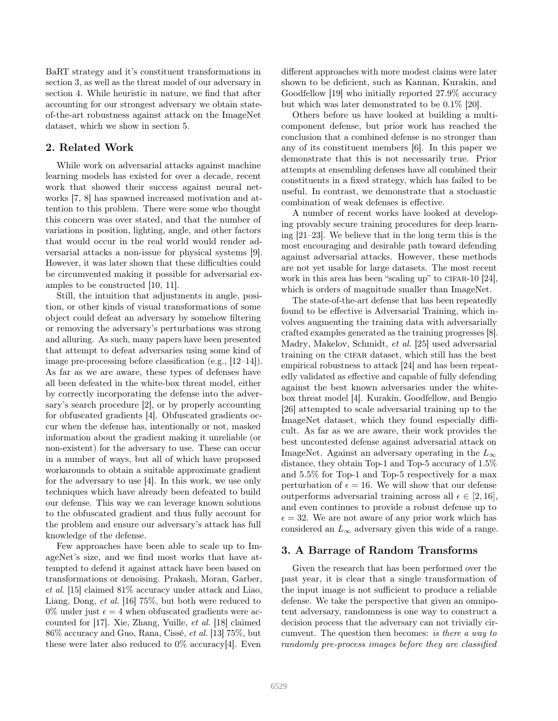BaRT strategy and it's constituent transformations in section 3, as well as the threat model of our adversary in section 4. While heuristic in nature, we find that after accounting for our strongest adversary we obtain stateof-the-art robustness against attack on the ImageNet dataset, which we show in section 5.

### 2. Related Work

While work on adversarial attacks against machine learning models has existed for over a decade, recent work that showed their success against neural networks [7, 8] has spawned increased motivation and attention to this problem. There were some who thought this concern was over stated, and that the number of variations in position, lighting, angle, and other factors that would occur in the real world would render adversarial attacks a non-issue for physical systems [9]. However, it was later shown that these difficulties could be circumvented making it possible for adversarial examples to be constructed [10, 11].

Still, the intuition that adjustments in angle, position, or other kinds of visual transformations of some object could defeat an adversary by somehow filtering or removing the adversary's perturbations was strong and alluring. As such, many papers have been presented that attempt to defeat adversaries using some kind of image pre-processing before classification (e.g., [12–14]). As far as we are aware, these types of defenses have all been defeated in the white-box threat model, either by correctly incorporating the defense into the adversary's search procedure [2], or by properly accounting for obfuscated gradients [4]. Obfuscated gradients occur when the defense has, intentionally or not, masked information about the gradient making it unreliable (or non-existent) for the adversary to use. These can occur in a number of ways, but all of which have proposed workarounds to obtain a suitable approximate gradient for the adversary to use [4]. In this work, we use only techniques which have already been defeated to build our defense. This way we can leverage known solutions to the obfuscated gradient and thus fully account for the problem and ensure our adversary's attack has full knowledge of the defense.

Few approaches have been able to scale up to ImageNet's size, and we find most works that have attempted to defend it against attack have been based on transformations or denoising. Prakash, Moran, Garber, *et al.* [15] claimed 81% accuracy under attack and Liao, Liang, Dong, *et al.* [16] 75%, but both were reduced to 0% under just  $\epsilon = 4$  when obfuscated gradients were accounted for [17]. Xie, Zhang, Yuille, *et al.* [18] claimed 86% accuracy and Guo, Rana, Cissé, *et al.* [13] 75%, but these were later also reduced to  $0\%$  accuracy[4]. Even

different approaches with more modest claims were later shown to be deficient, such as Kannan, Kurakin, and Goodfellow [19] who initially reported 27.9% accuracy but which was later demonstrated to be 0.1% [20].

Others before us have looked at building a multicomponent defense, but prior work has reached the conclusion that a combined defense is no stronger than any of its constituent members [6]. In this paper we demonstrate that this is not necessarily true. Prior attempts at ensembling defenses have all combined their constituents in a fixed strategy, which has failed to be useful. In contrast, we demonstrate that a stochastic combination of weak defenses is effective.

A number of recent works have looked at developing provably secure training procedures for deep learning [21–23]. We believe that in the long term this is the most encouraging and desirable path toward defending against adversarial attacks. However, these methods are not yet usable for large datasets. The most recent work in this area has been "scaling up" to CIFAR-10  $[24]$ , which is orders of magnitude smaller than ImageNet.

The state-of-the-art defense that has been repeatedly found to be effective is Adversarial Training, which involves augmenting the training data with adversarially crafted examples generated as the training progresses [8]. Madry, Makelov, Schmidt, *et al.* [25] used adversarial training on the cifar dataset, which still has the best empirical robustness to attack [24] and has been repeatedly validated as effective and capable of fully defending against the best known adversaries under the whitebox threat model [4]. Kurakin, Goodfellow, and Bengio [26] attempted to scale adversarial training up to the ImageNet dataset, which they found especially difficult. As far as we are aware, their work provides the best uncontested defense against adversarial attack on ImageNet. Against an adversary operating in the  $L_{\infty}$ distance, they obtain Top-1 and Top-5 accuracy of 1.5% and 5.5% for Top-1 and Top-5 respectively for a max perturbation of  $\epsilon = 16$ . We will show that our defense outperforms adversarial training across all  $\epsilon \in [2, 16]$ , and even continues to provide a robust defense up to  $\epsilon = 32$ . We are not aware of any prior work which has considered an  $L_{\infty}$  adversary given this wide of a range.

### 3. A Barrage of Random Transforms

Given the research that has been performed over the past year, it is clear that a single transformation of the input image is not sufficient to produce a reliable defense. We take the perspective that given an omnipotent adversary, randomness is one way to construct a decision process that the adversary can not trivially circumvent. The question then becomes: *is there a way to randomly pre-process images before they are classified*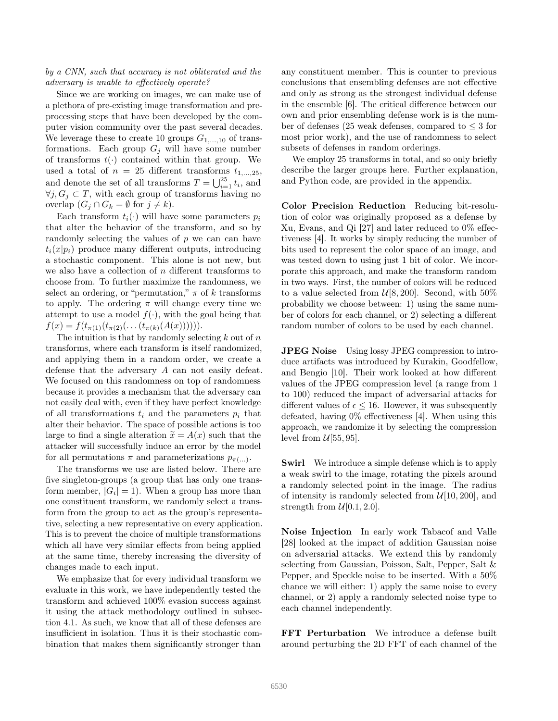#### *by a CNN, such that accuracy is not obliterated and the adversary is unable to e*ff*ectively operate?*

Since we are working on images, we can make use of a plethora of pre-existing image transformation and preprocessing steps that have been developed by the computer vision community over the past several decades. We leverage these to create 10 groups  $G_{1,...,10}$  of transformations. Each group  $G_j$  will have some number of transforms  $t(\cdot)$  contained within that group. We used a total of  $n = 25$  different transforms  $t_{1,\dots,25}$ , and denote the set of all transforms  $T = \bigcup_{i=1}^{25} t_i$ , and  $\forall j, G_j \subset T$ , with each group of transforms having no overlap  $(G_j \cap G_k = \emptyset \text{ for } j \neq k).$ 

Each transform  $t_i(\cdot)$  will have some parameters  $p_i$ that alter the behavior of the transform, and so by randomly selecting the values of p we can can have  $t_i(x|p_i)$  produce many different outputs, introducing a stochastic component. This alone is not new, but we also have a collection of  $n$  different transforms to choose from. To further maximize the randomness, we select an ordering, or "permutation,"  $\pi$  of k transforms to apply. The ordering  $\pi$  will change every time we attempt to use a model  $f(\cdot)$ , with the goal being that  $f(x) = f(t_{\pi(1)}(t_{\pi(2)}(\ldots (t_{\pi(k)}(A(x)))))).$ 

The intuition is that by randomly selecting  $k$  out of  $n$ transforms, where each transform is itself randomized, and applying them in a random order, we create a defense that the adversary A can not easily defeat. We focused on this randomness on top of randomness because it provides a mechanism that the adversary can not easily deal with, even if they have perfect knowledge of all transformations  $t_i$  and the parameters  $p_i$  that alter their behavior. The space of possible actions is too large to find a single alteration  $\tilde{x} = A(x)$  such that the attacker will successfully induce an error by the model for all permutations  $\pi$  and parameterizations  $p_{\pi(\ldots)}$ .

The transforms we use are listed below. There are five singleton-groups (a group that has only one transform member,  $|G_i| = 1$ ). When a group has more than one constituent transform, we randomly select a transform from the group to act as the group's representative, selecting a new representative on every application. This is to prevent the choice of multiple transformations which all have very similar effects from being applied at the same time, thereby increasing the diversity of changes made to each input.

We emphasize that for every individual transform we evaluate in this work, we have independently tested the transform and achieved 100% evasion success against it using the attack methodology outlined in subsection 4.1. As such, we know that all of these defenses are insufficient in isolation. Thus it is their stochastic combination that makes them significantly stronger than

any constituent member. This is counter to previous conclusions that ensembling defenses are not effective and only as strong as the strongest individual defense in the ensemble [6]. The critical difference between our own and prior ensembling defense work is is the number of defenses (25 weak defenses, compared to  $\leq$  3 for most prior work), and the use of randomness to select subsets of defenses in random orderings.

We employ 25 transforms in total, and so only briefly describe the larger groups here. Further explanation, and Python code, are provided in the appendix.

Color Precision Reduction Reducing bit-resolution of color was originally proposed as a defense by Xu, Evans, and Qi [27] and later reduced to 0% effectiveness [4]. It works by simply reducing the number of bits used to represent the color space of an image, and was tested down to using just 1 bit of color. We incorporate this approach, and make the transform random in two ways. First, the number of colors will be reduced to a value selected from  $\mathcal{U}[8, 200]$ . Second, with 50% probability we choose between: 1) using the same number of colors for each channel, or 2) selecting a different random number of colors to be used by each channel.

JPEG Noise Using lossy JPEG compression to introduce artifacts was introduced by Kurakin, Goodfellow, and Bengio [10]. Their work looked at how different values of the JPEG compression level (a range from 1 to 100) reduced the impact of adversarial attacks for different values of  $\epsilon \leq 16$ . However, it was subsequently defeated, having 0% effectiveness [4]. When using this approach, we randomize it by selecting the compression level from  $\mathcal{U}[55, 95]$ .

**Swirl** We introduce a simple defense which is to apply a weak swirl to the image, rotating the pixels around a randomly selected point in the image. The radius of intensity is randomly selected from  $\mathcal{U}[10, 200]$ , and strength from  $\mathcal{U}[0.1, 2.0]$ .

Noise Injection In early work Tabacof and Valle [28] looked at the impact of addition Gaussian noise on adversarial attacks. We extend this by randomly selecting from Gaussian, Poisson, Salt, Pepper, Salt & Pepper, and Speckle noise to be inserted. With a 50% chance we will either: 1) apply the same noise to every channel, or 2) apply a randomly selected noise type to each channel independently.

FFT Perturbation We introduce a defense built around perturbing the 2D FFT of each channel of the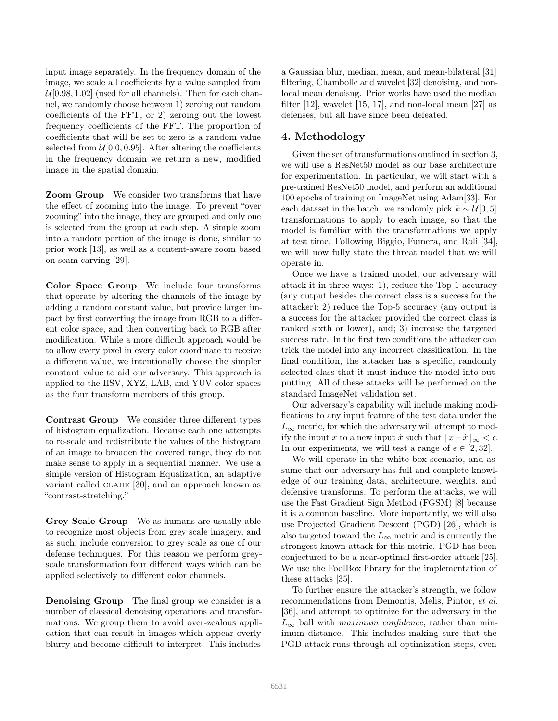input image separately. In the frequency domain of the image, we scale all coefficients by a value sampled from  $U[0.98, 1.02]$  (used for all channels). Then for each channel, we randomly choose between 1) zeroing out random coefficients of the FFT, or 2) zeroing out the lowest frequency coefficients of the FFT. The proportion of coefficients that will be set to zero is a random value selected from  $\mathcal{U}[0.0, 0.95]$ . After altering the coefficients in the frequency domain we return a new, modified image in the spatial domain.

Zoom Group We consider two transforms that have the effect of zooming into the image. To prevent "over zooming" into the image, they are grouped and only one is selected from the group at each step. A simple zoom into a random portion of the image is done, similar to prior work [13], as well as a content-aware zoom based on seam carving [29].

Color Space Group We include four transforms that operate by altering the channels of the image by adding a random constant value, but provide larger impact by first converting the image from RGB to a different color space, and then converting back to RGB after modification. While a more difficult approach would be to allow every pixel in every color coordinate to receive a different value, we intentionally choose the simpler constant value to aid our adversary. This approach is applied to the HSV, XYZ, LAB, and YUV color spaces as the four transform members of this group.

Contrast Group We consider three different types of histogram equalization. Because each one attempts to re-scale and redistribute the values of the histogram of an image to broaden the covered range, they do not make sense to apply in a sequential manner. We use a simple version of Histogram Equalization, an adaptive variant called CLAHE [30], and an approach known as "contrast-stretching."

Grey Scale Group We as humans are usually able to recognize most objects from grey scale imagery, and as such, include conversion to grey scale as one of our defense techniques. For this reason we perform greyscale transformation four different ways which can be applied selectively to different color channels.

Denoising Group The final group we consider is a number of classical denoising operations and transformations. We group them to avoid over-zealous application that can result in images which appear overly blurry and become difficult to interpret. This includes

a Gaussian blur, median, mean, and mean-bilateral [31] filtering, Chambolle and wavelet [32] denoising, and nonlocal mean denoisng. Prior works have used the median filter [12], wavelet [15, 17], and non-local mean [27] as defenses, but all have since been defeated.

## 4. Methodology

Given the set of transformations outlined in section 3, we will use a ResNet50 model as our base architecture for experimentation. In particular, we will start with a pre-trained ResNet50 model, and perform an additional 100 epochs of training on ImageNet using Adam[33]. For each dataset in the batch, we randomly pick  $k \sim \mathcal{U}[0, 5]$ transformations to apply to each image, so that the model is familiar with the transformations we apply at test time. Following Biggio, Fumera, and Roli [34], we will now fully state the threat model that we will operate in.

Once we have a trained model, our adversary will attack it in three ways: 1), reduce the Top-1 accuracy (any output besides the correct class is a success for the attacker); 2) reduce the Top-5 accuracy (any output is a success for the attacker provided the correct class is ranked sixth or lower), and; 3) increase the targeted success rate. In the first two conditions the attacker can trick the model into any incorrect classification. In the final condition, the attacker has a specific, randomly selected class that it must induce the model into outputting. All of these attacks will be performed on the standard ImageNet validation set.

Our adversary's capability will include making modifications to any input feature of the test data under the  $L_{\infty}$  metric, for which the adversary will attempt to modify the input x to a new input  $\hat{x}$  such that  $||x-\hat{x}||_{\infty} < \epsilon$ . In our experiments, we will test a range of  $\epsilon \in [2, 32]$ .

We will operate in the white-box scenario, and assume that our adversary has full and complete knowledge of our training data, architecture, weights, and defensive transforms. To perform the attacks, we will use the Fast Gradient Sign Method (FGSM) [8] because it is a common baseline. More importantly, we will also use Projected Gradient Descent (PGD) [26], which is also targeted toward the  $L_{\infty}$  metric and is currently the strongest known attack for this metric. PGD has been conjectured to be a near-optimal first-order attack [25]. We use the FoolBox library for the implementation of these attacks [35].

To further ensure the attacker's strength, we follow recommendations from Demontis, Melis, Pintor, *et al.* [36], and attempt to optimize for the adversary in the  $L_{\infty}$  ball with *maximum confidence*, rather than minimum distance. This includes making sure that the PGD attack runs through all optimization steps, even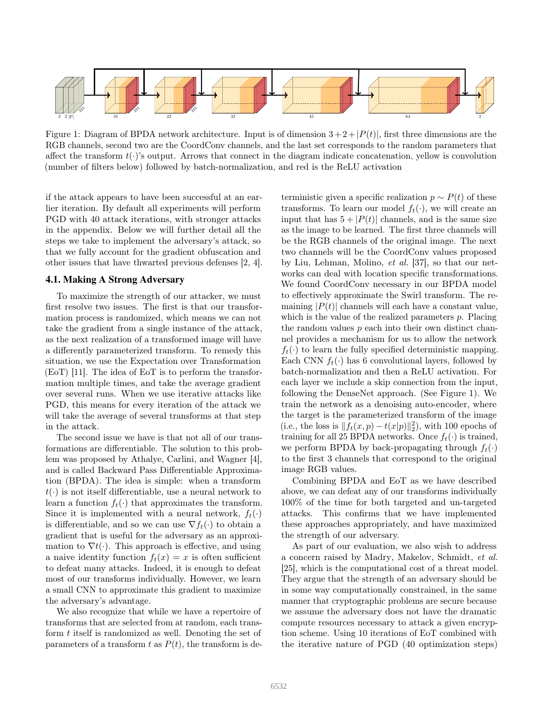

Figure 1: Diagram of BPDA network architecture. Input is of dimension  $3+2+|P(t)|$ , first three dimensions are the RGB channels, second two are the CoordConv channels, and the last set corresponds to the random parameters that affect the transform  $t(\cdot)$ 's output. Arrows that connect in the diagram indicate concatenation, yellow is convolution (number of filters below) followed by batch-normalization, and red is the ReLU activation

if the attack appears to have been successful at an earlier iteration. By default all experiments will perform PGD with 40 attack iterations, with stronger attacks in the appendix. Below we will further detail all the steps we take to implement the adversary's attack, so that we fully account for the gradient obfuscation and other issues that have thwarted previous defenses [2, 4].

### 4.1. Making A Strong Adversary

To maximize the strength of our attacker, we must first resolve two issues. The first is that our transformation process is randomized, which means we can not take the gradient from a single instance of the attack, as the next realization of a transformed image will have a differently parameterized transform. To remedy this situation, we use the Expectation over Transformation (EoT) [11]. The idea of EoT is to perform the transformation multiple times, and take the average gradient over several runs. When we use iterative attacks like PGD, this means for every iteration of the attack we will take the average of several transforms at that step in the attack.

The second issue we have is that not all of our transformations are differentiable. The solution to this problem was proposed by Athalye, Carlini, and Wagner [4], and is called Backward Pass Differentiable Approximation (BPDA). The idea is simple: when a transform  $t(\cdot)$  is not itself differentiable, use a neural network to learn a function  $f_t(\cdot)$  that approximates the transform. Since it is implemented with a neural network,  $f_t(\cdot)$ is differentiable, and so we can use  $\nabla f_t(\cdot)$  to obtain a gradient that is useful for the adversary as an approximation to  $\nabla t(\cdot)$ . This approach is effective, and using a naive identity function  $f_t(x) = x$  is often sufficient to defeat many attacks. Indeed, it is enough to defeat most of our transforms individually. However, we learn a small CNN to approximate this gradient to maximize the adversary's advantage.

We also recognize that while we have a repertoire of transforms that are selected from at random, each transform t itself is randomized as well. Denoting the set of parameters of a transform t as  $P(t)$ , the transform is deterministic given a specific realization  $p \sim P(t)$  of these transforms. To learn our model  $f_t(\cdot)$ , we will create an input that has  $5 + |P(t)|$  channels, and is the same size as the image to be learned. The first three channels will be the RGB channels of the original image. The next two channels will be the CoordConv values proposed by Liu, Lehman, Molino, *et al.* [37], so that our networks can deal with location specific transformations. We found CoordConv necessary in our BPDA model to effectively approximate the Swirl transform. The remaining  $|P(t)|$  channels will each have a constant value, which is the value of the realized parameters  $p$ . Placing the random values  $p$  each into their own distinct channel provides a mechanism for us to allow the network  $f_t(\cdot)$  to learn the fully specified deterministic mapping. Each CNN  $f_t(\cdot)$  has 6 convolutional layers, followed by batch-normalization and then a ReLU activation. For each layer we include a skip connection from the input, following the DenseNet approach. (See Figure 1). We train the network as a denoising auto-encoder, where the target is the parameterized transform of the image (i.e., the loss is  $|| f_t(x,p) - t(x|p)||_2^2$ ), with 100 epochs of training for all 25 BPDA networks. Once  $f_t(\cdot)$  is trained, we perform BPDA by back-propagating through  $f_t(\cdot)$ to the first 3 channels that correspond to the original image RGB values.

Combining BPDA and EoT as we have described above, we can defeat any of our transforms individually 100% of the time for both targeted and un-targeted attacks. This confirms that we have implemented these approaches appropriately, and have maximized the strength of our adversary.

As part of our evaluation, we also wish to address a concern raised by Madry, Makelov, Schmidt, *et al.* [25], which is the computational cost of a threat model. They argue that the strength of an adversary should be in some way computationally constrained, in the same manner that cryptographic problems are secure because we assume the adversary does not have the dramatic compute resources necessary to attack a given encryption scheme. Using 10 iterations of EoT combined with the iterative nature of PGD (40 optimization steps)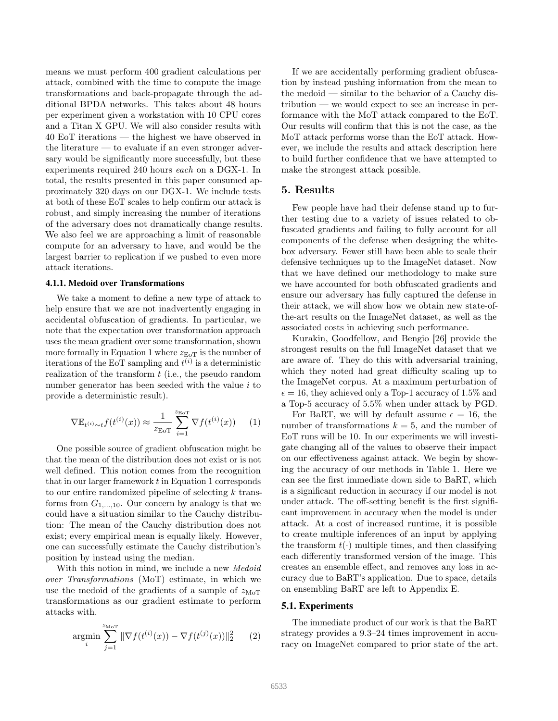means we must perform 400 gradient calculations per attack, combined with the time to compute the image transformations and back-propagate through the additional BPDA networks. This takes about 48 hours per experiment given a workstation with 10 CPU cores and a Titan X GPU. We will also consider results with 40 EoT iterations — the highest we have observed in the literature — to evaluate if an even stronger adversary would be significantly more successfully, but these experiments required 240 hours *each* on a DGX-1. In total, the results presented in this paper consumed approximately 320 days on our DGX-1. We include tests at both of these EoT scales to help confirm our attack is robust, and simply increasing the number of iterations of the adversary does not dramatically change results. We also feel we are approaching a limit of reasonable compute for an adversary to have, and would be the largest barrier to replication if we pushed to even more attack iterations.

#### 4.1.1. Medoid over Transformations

We take a moment to define a new type of attack to help ensure that we are not inadvertently engaging in accidental obfuscation of gradients. In particular, we note that the expectation over transformation approach uses the mean gradient over some transformation, shown more formally in Equation 1 where  $z_{E_0T}$  is the number of iterations of the EoT sampling and  $t^{(i)}$  is a deterministic realization of the transform  $t$  (i.e., the pseudo random number generator has been seeded with the value  $i$  to provide a deterministic result).

$$
\nabla \mathbb{E}_{t^{(i)} \sim t} f(t^{(i)}(x)) \approx \frac{1}{z_{\text{EoT}}} \sum_{i=1}^{z_{\text{EoT}}} \nabla f(t^{(i)}(x)) \qquad (1)
$$

One possible source of gradient obfuscation might be that the mean of the distribution does not exist or is not well defined. This notion comes from the recognition that in our larger framework  $t$  in Equation 1 corresponds to our entire randomized pipeline of selecting  $k$  transforms from  $G_{1,...,10}$ . Our concern by analogy is that we could have a situation similar to the Cauchy distribution: The mean of the Cauchy distribution does not exist; every empirical mean is equally likely. However, one can successfully estimate the Cauchy distribution's position by instead using the median.

With this notion in mind, we include a new *Medoid over Transformations* (MoT) estimate, in which we use the medoid of the gradients of a sample of  $z_{\text{MoT}}$ transformations as our gradient estimate to perform attacks with.

$$
\underset{i}{\text{argmin}} \sum_{j=1}^{z_{\text{MoT}}} \|\nabla f(t^{(i)}(x)) - \nabla f(t^{(j)}(x))\|_2^2 \qquad (2)
$$

If we are accidentally performing gradient obfuscation by instead pushing information from the mean to the medoid — similar to the behavior of a Cauchy distribution — we would expect to see an increase in performance with the MoT attack compared to the EoT. Our results will confirm that this is not the case, as the MoT attack performs worse than the EoT attack. However, we include the results and attack description here to build further confidence that we have attempted to make the strongest attack possible.

#### 5. Results

Few people have had their defense stand up to further testing due to a variety of issues related to obfuscated gradients and failing to fully account for all components of the defense when designing the whitebox adversary. Fewer still have been able to scale their defensive techniques up to the ImageNet dataset. Now that we have defined our methodology to make sure we have accounted for both obfuscated gradients and ensure our adversary has fully captured the defense in their attack, we will show how we obtain new state-ofthe-art results on the ImageNet dataset, as well as the associated costs in achieving such performance.

Kurakin, Goodfellow, and Bengio [26] provide the strongest results on the full ImageNet dataset that we are aware of. They do this with adversarial training, which they noted had great difficulty scaling up to the ImageNet corpus. At a maximum perturbation of  $\epsilon = 16$ , they achieved only a Top-1 accuracy of 1.5% and a Top-5 accuracy of 5.5% when under attack by PGD.

For BaRT, we will by default assume  $\epsilon = 16$ , the number of transformations  $k = 5$ , and the number of EoT runs will be 10. In our experiments we will investigate changing all of the values to observe their impact on our effectiveness against attack. We begin by showing the accuracy of our methods in Table 1. Here we can see the first immediate down side to BaRT, which is a significant reduction in accuracy if our model is not under attack. The off-setting benefit is the first significant improvement in accuracy when the model is under attack. At a cost of increased runtime, it is possible to create multiple inferences of an input by applying the transform  $t(\cdot)$  multiple times, and then classifying each differently transformed version of the image. This creates an ensemble effect, and removes any loss in accuracy due to BaRT's application. Due to space, details on ensembling BaRT are left to Appendix E.

#### 5.1. Experiments

The immediate product of our work is that the BaRT strategy provides a 9.3–24 times improvement in accuracy on ImageNet compared to prior state of the art.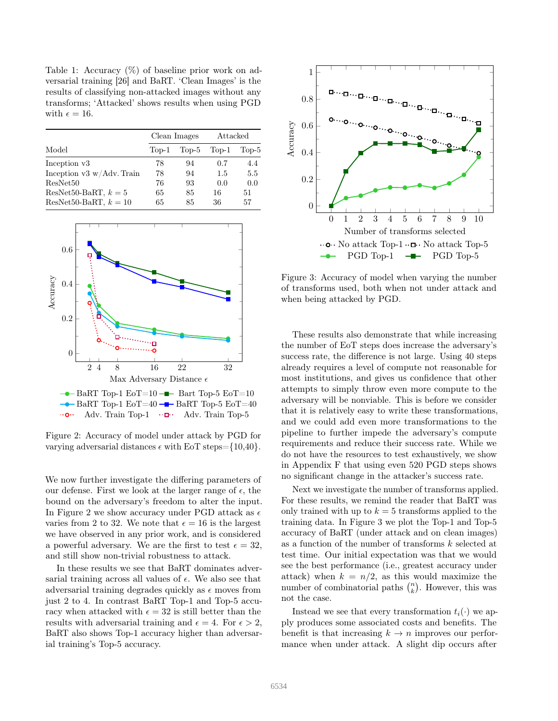Table 1: Accuracy  $(\%)$  of baseline prior work on adversarial training [26] and BaRT. 'Clean Images' is the results of classifying non-attacked images without any transforms; 'Attacked' shows results when using PGD with  $\epsilon = 16$ .

| Model                        | Clean Images |         | Attacked |         |
|------------------------------|--------------|---------|----------|---------|
|                              | Top-1        | $Top-5$ | $Top-1$  | $Top-5$ |
| Inception v3                 | 78           | 94      | 0.7      | 4.4     |
| Inception $v3 w/Adv$ . Train | 78           | 94      | 1.5      | 5.5     |
| ResNet50                     | 76           | 93      | 0.0      | 0.0     |
| ResNet50-BaRT, $k=5$         | 65           | 85      | 16       | 51      |
| ResNet50-BaRT, $k = 10$      | 65           | 85      | 36       | 57      |



Figure 2: Accuracy of model under attack by PGD for varying adversarial distances  $\epsilon$  with EoT steps={10,40}.

We now further investigate the differing parameters of our defense. First we look at the larger range of  $\epsilon$ , the bound on the adversary's freedom to alter the input. In Figure 2 we show accuracy under PGD attack as  $\epsilon$ varies from 2 to 32. We note that  $\epsilon = 16$  is the largest we have observed in any prior work, and is considered a powerful adversary. We are the first to test  $\epsilon = 32$ , and still show non-trivial robustness to attack.

In these results we see that BaRT dominates adversarial training across all values of  $\epsilon$ . We also see that adversarial training degrades quickly as  $\epsilon$  moves from just 2 to 4. In contrast BaRT Top-1 and Top-5 accuracy when attacked with  $\epsilon = 32$  is still better than the results with adversarial training and  $\epsilon = 4$ . For  $\epsilon > 2$ , BaRT also shows Top-1 accuracy higher than adversarial training's Top-5 accuracy.



Figure 3: Accuracy of model when varying the number of transforms used, both when not under attack and when being attacked by PGD.

These results also demonstrate that while increasing the number of EoT steps does increase the adversary's success rate, the difference is not large. Using 40 steps already requires a level of compute not reasonable for most institutions, and gives us confidence that other attempts to simply throw even more compute to the adversary will be nonviable. This is before we consider that it is relatively easy to write these transformations, and we could add even more transformations to the pipeline to further impede the adversary's compute requirements and reduce their success rate. While we do not have the resources to test exhaustively, we show in Appendix F that using even 520 PGD steps shows no significant change in the attacker's success rate.

Next we investigate the number of transforms applied. For these results, we remind the reader that BaRT was only trained with up to  $k = 5$  transforms applied to the training data. In Figure 3 we plot the Top-1 and Top-5 accuracy of BaRT (under attack and on clean images) as a function of the number of transforms k selected at test time. Our initial expectation was that we would see the best performance (i.e., greatest accuracy under attack) when  $k = n/2$ , as this would maximize the number of combinatorial paths  $\binom{n}{k}$ . However, this was not the case.

Instead we see that every transformation  $t_i(\cdot)$  we apply produces some associated costs and benefits. The benefit is that increasing  $k \to n$  improves our performance when under attack. A slight dip occurs after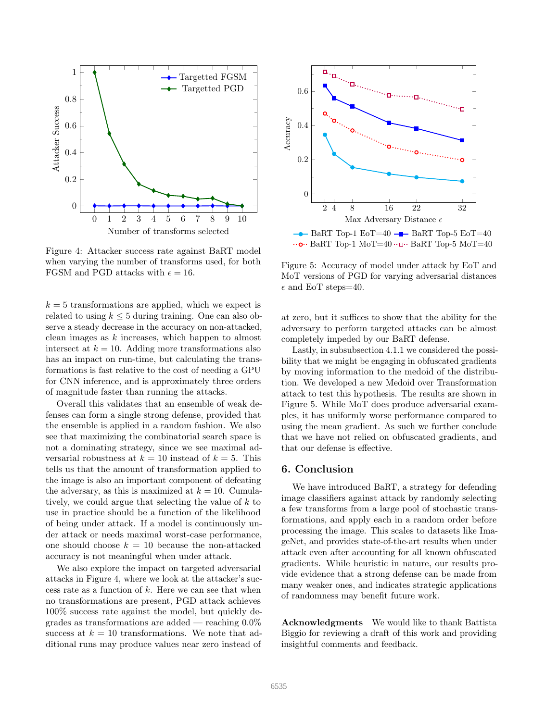

Figure 4: Attacker success rate against BaRT model when varying the number of transforms used, for both FGSM and PGD attacks with  $\epsilon = 16$ .

 $k = 5$  transformations are applied, which we expect is related to using  $k \leq 5$  during training. One can also observe a steady decrease in the accuracy on non-attacked, clean images as k increases, which happen to almost intersect at  $k = 10$ . Adding more transformations also has an impact on run-time, but calculating the transformations is fast relative to the cost of needing a GPU for CNN inference, and is approximately three orders of magnitude faster than running the attacks.

Overall this validates that an ensemble of weak defenses can form a single strong defense, provided that the ensemble is applied in a random fashion. We also see that maximizing the combinatorial search space is not a dominating strategy, since we see maximal adversarial robustness at  $k = 10$  instead of  $k = 5$ . This tells us that the amount of transformation applied to the image is also an important component of defeating the adversary, as this is maximized at  $k = 10$ . Cumulatively, we could argue that selecting the value of k to use in practice should be a function of the likelihood of being under attack. If a model is continuously under attack or needs maximal worst-case performance, one should choose  $k = 10$  because the non-attacked accuracy is not meaningful when under attack.

We also explore the impact on targeted adversarial attacks in Figure 4, where we look at the attacker's success rate as a function of  $k$ . Here we can see that when no transformations are present, PGD attack achieves 100% success rate against the model, but quickly degrades as transformations are added — reaching  $0.0\%$ success at  $k = 10$  transformations. We note that additional runs may produce values near zero instead of



 $\cdots$ O $\cdots$  BaRT Top-1 MoT=40 $\cdots$  BaRT Top-5 MoT=40

Figure 5: Accuracy of model under attack by EoT and MoT versions of PGD for varying adversarial distances  $\epsilon$  and EoT steps=40.

at zero, but it suffices to show that the ability for the adversary to perform targeted attacks can be almost completely impeded by our BaRT defense.

Lastly, in subsubsection 4.1.1 we considered the possibility that we might be engaging in obfuscated gradients by moving information to the medoid of the distribution. We developed a new Medoid over Transformation attack to test this hypothesis. The results are shown in Figure 5. While MoT does produce adversarial examples, it has uniformly worse performance compared to using the mean gradient. As such we further conclude that we have not relied on obfuscated gradients, and that our defense is effective.

#### 6. Conclusion

We have introduced BaRT, a strategy for defending image classifiers against attack by randomly selecting a few transforms from a large pool of stochastic transformations, and apply each in a random order before processing the image. This scales to datasets like ImageNet, and provides state-of-the-art results when under attack even after accounting for all known obfuscated gradients. While heuristic in nature, our results provide evidence that a strong defense can be made from many weaker ones, and indicates strategic applications of randomness may benefit future work.

Acknowledgments We would like to thank Battista Biggio for reviewing a draft of this work and providing insightful comments and feedback.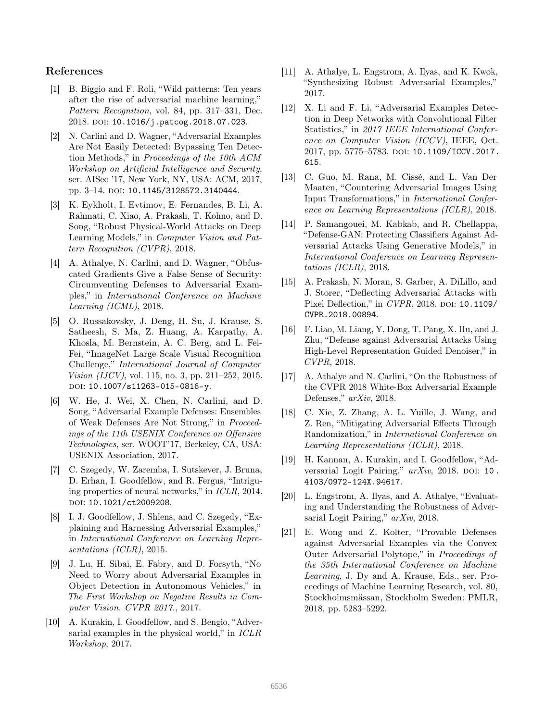### References

- [1] B. Biggio and F. Roli, "Wild patterns: Ten years after the rise of adversarial machine learning," *Pattern Recognition*, vol. 84, pp. 317–331, Dec. 2018. doi: 10.1016/j.patcog.2018.07.023.
- [2] N. Carlini and D. Wagner, "Adversarial Examples Are Not Easily Detected: Bypassing Ten Detection Methods," in *Proceedings of the 10th ACM Workshop on Artificial Intelligence and Security*, ser. AISec '17, New York, NY, USA: ACM, 2017, pp. 3-14. DOI: 10.1145/3128572.3140444.
- [3] K. Eykholt, I. Evtimov, E. Fernandes, B. Li, A. Rahmati, C. Xiao, A. Prakash, T. Kohno, and D. Song, "Robust Physical-World Attacks on Deep Learning Models," in *Computer Vision and Pattern Recognition (CVPR)*, 2018.
- [4] A. Athalye, N. Carlini, and D. Wagner, "Obfuscated Gradients Give a False Sense of Security: Circumventing Defenses to Adversarial Examples," in *International Conference on Machine Learning (ICML)*, 2018.
- [5] O. Russakovsky, J. Deng, H. Su, J. Krause, S. Satheesh, S. Ma, Z. Huang, A. Karpathy, A. Khosla, M. Bernstein, A. C. Berg, and L. Fei-Fei, "ImageNet Large Scale Visual Recognition Challenge," *International Journal of Computer Vision (IJCV)*, vol. 115, no. 3, pp. 211–252, 2015. doi: 10.1007/s11263-015-0816-y.
- [6] W. He, J. Wei, X. Chen, N. Carlini, and D. Song, "Adversarial Example Defenses: Ensembles of Weak Defenses Are Not Strong," in *Proceedings of the 11th USENIX Conference on O*ff*ensive Technologies*, ser. WOOT'17, Berkeley, CA, USA: USENIX Association, 2017.
- [7] C. Szegedy, W. Zaremba, I. Sutskever, J. Bruna, D. Erhan, I. Goodfellow, and R. Fergus, "Intriguing properties of neural networks," in *ICLR*, 2014. doi: 10.1021/ct2009208.
- [8] I. J. Goodfellow, J. Shlens, and C. Szegedy, "Explaining and Harnessing Adversarial Examples," in *International Conference on Learning Representations (ICLR)*, 2015.
- [9] J. Lu, H. Sibai, E. Fabry, and D. Forsyth, "No Need to Worry about Adversarial Examples in Object Detection in Autonomous Vehicles," in *The First Workshop on Negative Results in Computer Vision. CVPR 2017.*, 2017.
- [10] A. Kurakin, I. Goodfellow, and S. Bengio, "Adversarial examples in the physical world," in *ICLR Workshop*, 2017.
- [11] A. Athalye, L. Engstrom, A. Ilyas, and K. Kwok, "Synthesizing Robust Adversarial Examples," 2017.
- [12] X. Li and F. Li, "Adversarial Examples Detection in Deep Networks with Convolutional Filter Statistics," in *2017 IEEE International Conference on Computer Vision (ICCV)*, IEEE, Oct. 2017, pp. 5775-5783. DOI: 10.1109/ICCV.2017. 615.
- [13] C. Guo, M. Rana, M. Cissé, and L. Van Der Maaten, "Countering Adversarial Images Using Input Transformations," in *International Conference on Learning Representations (ICLR)*, 2018.
- [14] P. Samangouei, M. Kabkab, and R. Chellappa, "Defense-GAN: Protecting Classifiers Against Adversarial Attacks Using Generative Models," in *International Conference on Learning Representations (ICLR)*, 2018.
- [15] A. Prakash, N. Moran, S. Garber, A. DiLillo, and J. Storer, "Deflecting Adversarial Attacks with Pixel Deflection," in *CVPR*, 2018. pol: 10.1109/ CVPR.2018.00894.
- [16] F. Liao, M. Liang, Y. Dong, T. Pang, X. Hu, and J. Zhu, "Defense against Adversarial Attacks Using High-Level Representation Guided Denoiser," in *CVPR*, 2018.
- [17] A. Athalye and N. Carlini, "On the Robustness of the CVPR 2018 White-Box Adversarial Example Defenses," *arXiv*, 2018.
- [18] C. Xie, Z. Zhang, A. L. Yuille, J. Wang, and Z. Ren, "Mitigating Adversarial Effects Through Randomization," in *International Conference on Learning Representations (ICLR)*, 2018.
- [19] H. Kannan, A. Kurakin, and I. Goodfellow, "Adversarial Logit Pairing,"  $arXiv$ , 2018. DOI: 10. 4103/0972-124X.94617.
- [20] L. Engstrom, A. Ilyas, and A. Athalye, "Evaluating and Understanding the Robustness of Adversarial Logit Pairing," *arXiv*, 2018.
- [21] E. Wong and Z. Kolter, "Provable Defenses against Adversarial Examples via the Convex Outer Adversarial Polytope," in *Proceedings of the 35th International Conference on Machine Learning*, J. Dy and A. Krause, Eds., ser. Proceedings of Machine Learning Research, vol. 80, Stockholmsmässan, Stockholm Sweden: PMLR, 2018, pp. 5283–5292.